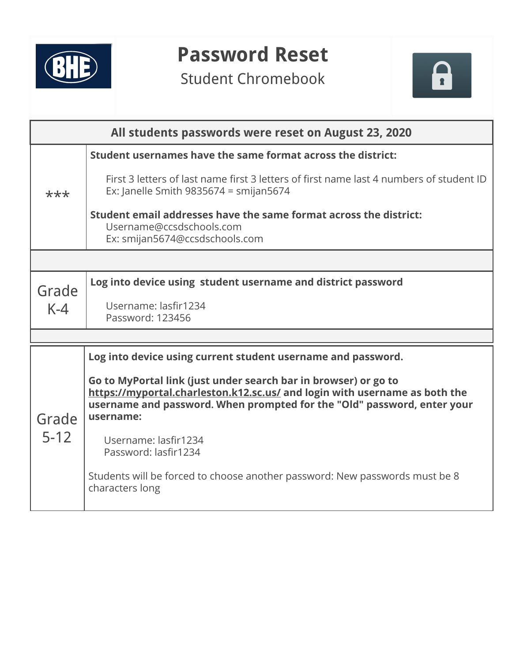

## **Password Reset**

Student Chromebook



| All students passwords were reset on August 23, 2020 |                                                                                                                                                                                                                                       |  |  |  |
|------------------------------------------------------|---------------------------------------------------------------------------------------------------------------------------------------------------------------------------------------------------------------------------------------|--|--|--|
|                                                      | Student usernames have the same format across the district:                                                                                                                                                                           |  |  |  |
| ***                                                  | First 3 letters of last name first 3 letters of first name last 4 numbers of student ID<br>Ex: Janelle Smith 9835674 = smijan5674                                                                                                     |  |  |  |
|                                                      | Student email addresses have the same format across the district:<br>Username@ccsdschools.com<br>Ex: smijan5674@ccsdschools.com                                                                                                       |  |  |  |
|                                                      |                                                                                                                                                                                                                                       |  |  |  |
| Grade<br>$K-4$                                       | Log into device using student username and district password                                                                                                                                                                          |  |  |  |
|                                                      | Username: lasfir1234<br>Password: 123456                                                                                                                                                                                              |  |  |  |
|                                                      |                                                                                                                                                                                                                                       |  |  |  |
|                                                      | Log into device using current student username and password.                                                                                                                                                                          |  |  |  |
| Grade<br>$5 - 12$                                    | Go to MyPortal link (just under search bar in browser) or go to<br>https://myportal.charleston.k12.sc.us/ and login with username as both the<br>username and password. When prompted for the "Old" password, enter your<br>username: |  |  |  |
|                                                      | Username: lasfir1234<br>Password: lasfir1234                                                                                                                                                                                          |  |  |  |
|                                                      | Students will be forced to choose another password: New passwords must be 8<br>characters long                                                                                                                                        |  |  |  |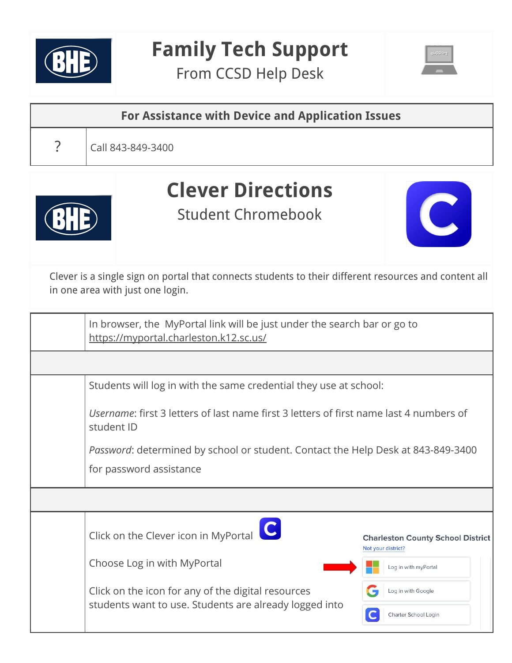

## **Family Tech Support**

From CCSD Help Desk



| For Assistance with Device and Application Issues |                                                                                                                                           |  |  |  |
|---------------------------------------------------|-------------------------------------------------------------------------------------------------------------------------------------------|--|--|--|
|                                                   | Call 843-849-3400                                                                                                                         |  |  |  |
|                                                   | <b>Clever Directions</b><br><b>Student Chromebook</b>                                                                                     |  |  |  |
|                                                   | Clever is a single sign on portal that connects students to their different resources and content all<br>in one area with just one login. |  |  |  |

| In browser, the MyPortal link will be just under the search bar or go to<br>https://myportal.charleston.k12.sc.us/ |                                                                                        |  |  |  |
|--------------------------------------------------------------------------------------------------------------------|----------------------------------------------------------------------------------------|--|--|--|
|                                                                                                                    |                                                                                        |  |  |  |
|                                                                                                                    | Students will log in with the same credential they use at school:                      |  |  |  |
| student ID                                                                                                         | Username: first 3 letters of last name first 3 letters of first name last 4 numbers of |  |  |  |
| Password: determined by school or student. Contact the Help Desk at 843-849-3400                                   |                                                                                        |  |  |  |
| for password assistance                                                                                            |                                                                                        |  |  |  |
|                                                                                                                    |                                                                                        |  |  |  |
| Click on the Clever icon in MyPortal                                                                               | <b>Charleston County School District</b><br>Not your district?                         |  |  |  |
| Choose Log in with MyPortal                                                                                        | Log in with myPortal                                                                   |  |  |  |
| Click on the icon for any of the digital resources                                                                 | Log in with Google                                                                     |  |  |  |
| students want to use. Students are already logged into                                                             | Charter School Login                                                                   |  |  |  |